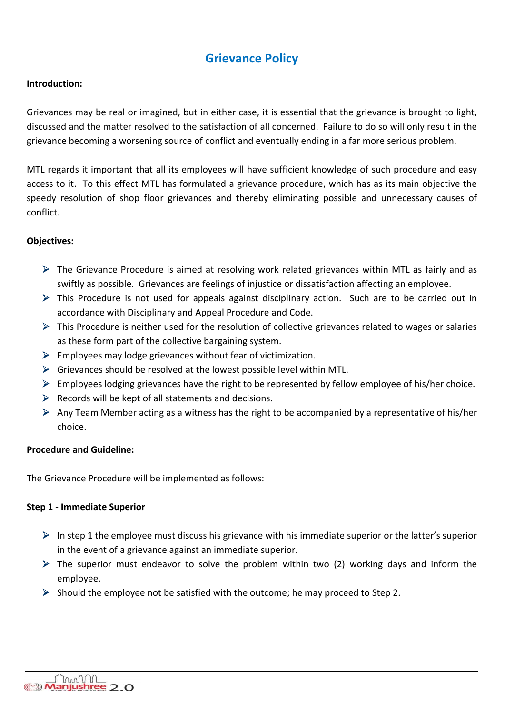# Grievance Policy

# Introduction:

Grievances may be real or imagined, but in either case, it is essential that the grievance is brought to light, discussed and the matter resolved to the satisfaction of all concerned. Failure to do so will only result in the grievance becoming a worsening source of conflict and eventually ending in a far more serious problem.

MTL regards it important that all its employees will have sufficient knowledge of such procedure and easy access to it. To this effect MTL has formulated a grievance procedure, which has as its main objective the speedy resolution of shop floor grievances and thereby eliminating possible and unnecessary causes of conflict.

# Objectives:

- $\triangleright$  The Grievance Procedure is aimed at resolving work related grievances within MTL as fairly and as swiftly as possible. Grievances are feelings of injustice or dissatisfaction affecting an employee.
- This Procedure is not used for appeals against disciplinary action. Such are to be carried out in accordance with Disciplinary and Appeal Procedure and Code.
- $\triangleright$  This Procedure is neither used for the resolution of collective grievances related to wages or salaries as these form part of the collective bargaining system.
- $\triangleright$  Employees may lodge grievances without fear of victimization.
- $\triangleright$  Grievances should be resolved at the lowest possible level within MTL.
- $\triangleright$  Employees lodging grievances have the right to be represented by fellow employee of his/her choice.
- $\triangleright$  Records will be kept of all statements and decisions.
- $\triangleright$  Any Team Member acting as a witness has the right to be accompanied by a representative of his/her choice.

#### Procedure and Guideline:

The Grievance Procedure will be implemented as follows:

# Step 1 - Immediate Superior

- $\triangleright$  In step 1 the employee must discuss his grievance with his immediate superior or the latter's superior in the event of a grievance against an immediate superior.
- $\triangleright$  The superior must endeavor to solve the problem within two (2) working days and inform the employee.
- $\triangleright$  Should the employee not be satisfied with the outcome; he may proceed to Step 2.